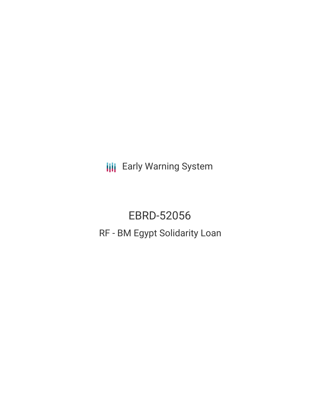**III** Early Warning System

EBRD-52056 RF - BM Egypt Solidarity Loan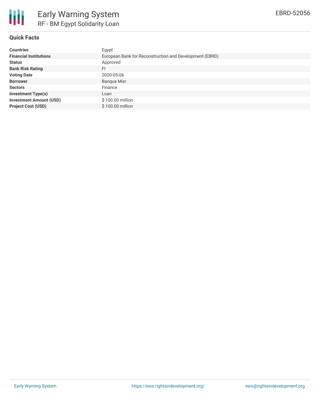

# **Quick Facts**

| <b>Countries</b>               | Egypt                                                   |
|--------------------------------|---------------------------------------------------------|
| <b>Financial Institutions</b>  | European Bank for Reconstruction and Development (EBRD) |
| <b>Status</b>                  | Approved                                                |
| <b>Bank Risk Rating</b>        | FI                                                      |
| <b>Voting Date</b>             | 2020-05-06                                              |
| <b>Borrower</b>                | <b>Banque Misr</b>                                      |
| <b>Sectors</b>                 | Finance                                                 |
| <b>Investment Type(s)</b>      | Loan                                                    |
| <b>Investment Amount (USD)</b> | \$100.00 million                                        |
| <b>Project Cost (USD)</b>      | \$100.00 million                                        |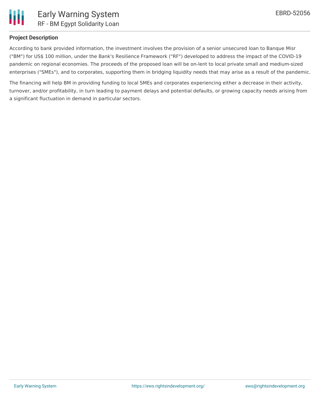

## **Project Description**

According to bank provided information, the investment involves the provision of a senior unsecured loan to Banque Misr ("BM") for US\$ 100 million, under the Bank's Resilience Framework ("RF") developed to address the impact of the COVID-19 pandemic on regional economies. The proceeds of the proposed loan will be on-lent to local private small and medium-sized enterprises ("SMEs"), and to corporates, supporting them in bridging liquidity needs that may arise as a result of the pandemic.

The financing will help BM in providing funding to local SMEs and corporates experiencing either a decrease in their activity, turnover, and/or profitability, in turn leading to payment delays and potential defaults, or growing capacity needs arising from a significant fluctuation in demand in particular sectors.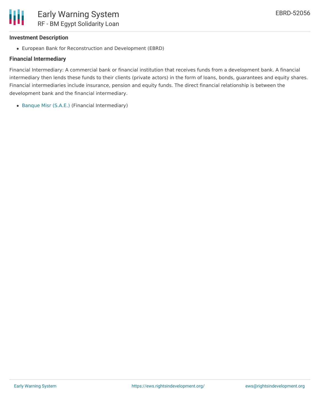

### **Investment Description**

European Bank for Reconstruction and Development (EBRD)

## **Financial Intermediary**

Financial Intermediary: A commercial bank or financial institution that receives funds from a development bank. A financial intermediary then lends these funds to their clients (private actors) in the form of loans, bonds, guarantees and equity shares. Financial intermediaries include insurance, pension and equity funds. The direct financial relationship is between the development bank and the financial intermediary.

[Banque](file:///actor/1874/) Misr (S.A.E.) (Financial Intermediary)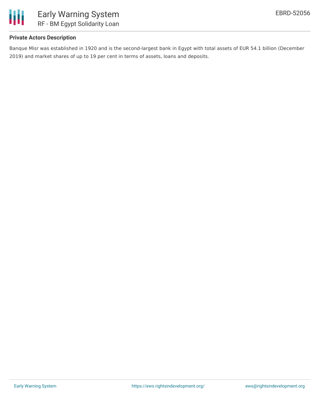

## **Private Actors Description**

Banque Misr was established in 1920 and is the second-largest bank in Egypt with total assets of EUR 54.1 billion (December 2019) and market shares of up to 19 per cent in terms of assets, loans and deposits.